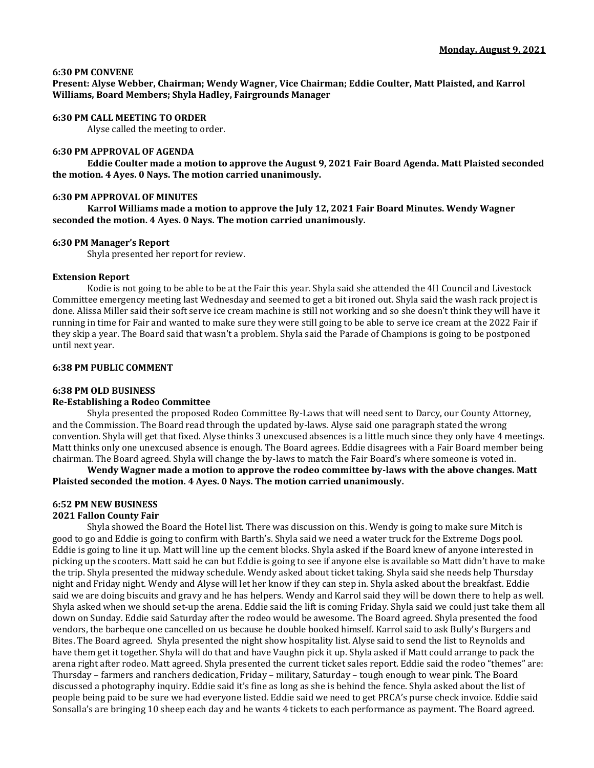## **6:30 PM CONVENE**

**Present: Alyse Webber, Chairman; Wendy Wagner, Vice Chairman; Eddie Coulter, Matt Plaisted, and Karrol Williams, Board Members; Shyla Hadley, Fairgrounds Manager**

## **6:30 PM CALL MEETING TO ORDER**

Alyse called the meeting to order.

## **6:30 PM APPROVAL OF AGENDA**

**Eddie Coulter made a motion to approve the August 9, 2021 Fair Board Agenda. Matt Plaisted seconded the motion. 4 Ayes. 0 Nays. The motion carried unanimously.** 

## **6:30 PM APPROVAL OF MINUTES**

**Karrol Williams made a motion to approve the July 12, 2021 Fair Board Minutes. Wendy Wagner seconded the motion. 4 Ayes. 0 Nays. The motion carried unanimously.** 

#### **6:30 PM Manager's Report**

Shyla presented her report for review.

## **Extension Report**

Kodie is not going to be able to be at the Fair this year. Shyla said she attended the 4H Council and Livestock Committee emergency meeting last Wednesday and seemed to get a bit ironed out. Shyla said the wash rack project is done. Alissa Miller said their soft serve ice cream machine is still not working and so she doesn't think they will have it running in time for Fair and wanted to make sure they were still going to be able to serve ice cream at the 2022 Fair if they skip a year. The Board said that wasn't a problem. Shyla said the Parade of Champions is going to be postponed until next year.

## **6:38 PM PUBLIC COMMENT**

#### **6:38 PM OLD BUSINESS**

## **Re-Establishing a Rodeo Committee**

Shyla presented the proposed Rodeo Committee By-Laws that will need sent to Darcy, our County Attorney, and the Commission. The Board read through the updated by-laws. Alyse said one paragraph stated the wrong convention. Shyla will get that fixed. Alyse thinks 3 unexcused absences is a little much since they only have 4 meetings. Matt thinks only one unexcused absence is enough. The Board agrees. Eddie disagrees with a Fair Board member being chairman. The Board agreed. Shyla will change the by-laws to match the Fair Board's where someone is voted in.

**Wendy Wagner made a motion to approve the rodeo committee by-laws with the above changes. Matt Plaisted seconded the motion. 4 Ayes. 0 Nays. The motion carried unanimously.**

## **6:52 PM NEW BUSINESS**

#### **2021 Fallon County Fair**

Shyla showed the Board the Hotel list. There was discussion on this. Wendy is going to make sure Mitch is good to go and Eddie is going to confirm with Barth's. Shyla said we need a water truck for the Extreme Dogs pool. Eddie is going to line it up. Matt will line up the cement blocks. Shyla asked if the Board knew of anyone interested in picking up the scooters. Matt said he can but Eddie is going to see if anyone else is available so Matt didn't have to make the trip. Shyla presented the midway schedule. Wendy asked about ticket taking. Shyla said she needs help Thursday night and Friday night. Wendy and Alyse will let her know if they can step in. Shyla asked about the breakfast. Eddie said we are doing biscuits and gravy and he has helpers. Wendy and Karrol said they will be down there to help as well. Shyla asked when we should set-up the arena. Eddie said the lift is coming Friday. Shyla said we could just take them all down on Sunday. Eddie said Saturday after the rodeo would be awesome. The Board agreed. Shyla presented the food vendors, the barbeque one cancelled on us because he double booked himself. Karrol said to ask Bully's Burgers and Bites. The Board agreed. Shyla presented the night show hospitality list. Alyse said to send the list to Reynolds and have them get it together. Shyla will do that and have Vaughn pick it up. Shyla asked if Matt could arrange to pack the arena right after rodeo. Matt agreed. Shyla presented the current ticket sales report. Eddie said the rodeo "themes" are: Thursday – farmers and ranchers dedication, Friday – military, Saturday – tough enough to wear pink. The Board discussed a photography inquiry. Eddie said it's fine as long as she is behind the fence. Shyla asked about the list of people being paid to be sure we had everyone listed. Eddie said we need to get PRCA's purse check invoice. Eddie said Sonsalla's are bringing 10 sheep each day and he wants 4 tickets to each performance as payment. The Board agreed.